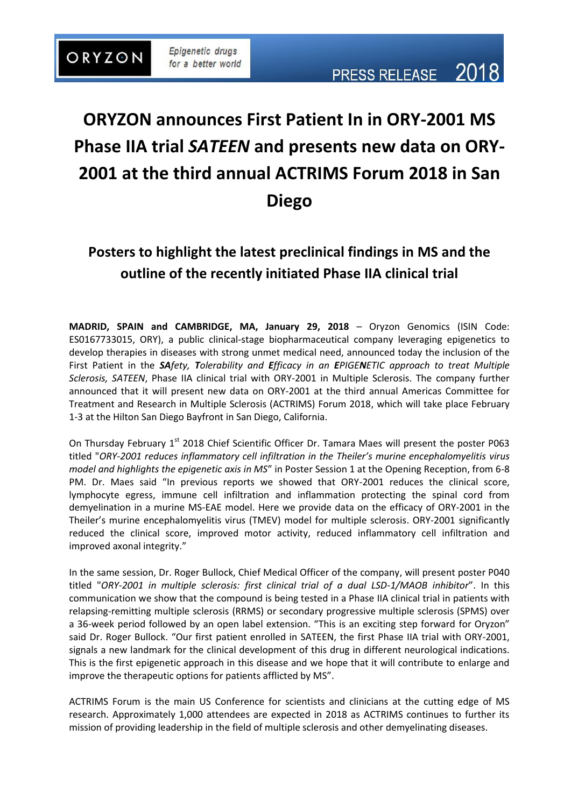# **ORYZON announces First Patient In in ORY-2001 MS Phase IIA trial** *SATEEN* **and presents new data on ORY-2001 at the third annual ACTRIMS Forum 2018 in San Diego**

# **Posters to highlight the latest preclinical findings in MS and the outline of the recently initiated Phase IIA clinical trial**

**MADRID, SPAIN and CAMBRIDGE, MA, January 29, 2018** – Oryzon Genomics (ISIN Code: ES0167733015, ORY), a public clinical-stage biopharmaceutical company leveraging epigenetics to develop therapies in diseases with strong unmet medical need, announced today the inclusion of the First Patient in the *SAfety, Tolerability and Efficacy in an EPIGENETIC approach to treat Multiple Sclerosis, SATEEN*, Phase IIA clinical trial with ORY-2001 in Multiple Sclerosis. The company further announced that it will present new data on ORY-2001 at the third annual Americas Committee for Treatment and Research in Multiple Sclerosis (ACTRIMS) Forum 2018, which will take place February 1-3 at the Hilton San Diego Bayfront in San Diego, California.

On Thursday February 1<sup>st</sup> 2018 Chief Scientific Officer Dr. Tamara Maes will present the poster P063 titled "*ORY-2001 reduces inflammatory cell infiltration in the Theiler's murine encephalomyelitis virus model and highlights the epigenetic axis in MS*" in Poster Session 1 at the Opening Reception, from 6-8 PM. Dr. Maes said "In previous reports we showed that ORY-2001 reduces the clinical score, lymphocyte egress, immune cell infiltration and inflammation protecting the spinal cord from demyelination in a murine MS-EAE model. Here we provide data on the efficacy of ORY-2001 in the Theiler's murine encephalomyelitis virus (TMEV) model for multiple sclerosis. ORY-2001 significantly reduced the clinical score, improved motor activity, reduced inflammatory cell infiltration and improved axonal integrity."

In the same session, Dr. Roger Bullock, Chief Medical Officer of the company, will present poster P040 titled "*ORY-2001 in multiple sclerosis: first clinical trial of a dual LSD-1/MAOB inhibitor*". In this communication we show that the compound is being tested in a Phase IIA clinical trial in patients with relapsing-remitting multiple sclerosis (RRMS) or secondary progressive multiple sclerosis (SPMS) over a 36-week period followed by an open label extension. "This is an exciting step forward for Oryzon" said Dr. Roger Bullock. "Our first patient enrolled in SATEEN, the first Phase IIA trial with ORY-2001, signals a new landmark for the clinical development of this drug in different neurological indications. This is the first epigenetic approach in this disease and we hope that it will contribute to enlarge and improve the therapeutic options for patients afflicted by MS".

ACTRIMS Forum is the main US Conference for scientists and clinicians at the cutting edge of MS research. Approximately 1,000 attendees are expected in 2018 as ACTRIMS continues to further its mission of providing leadership in the field of multiple sclerosis and other demyelinating diseases.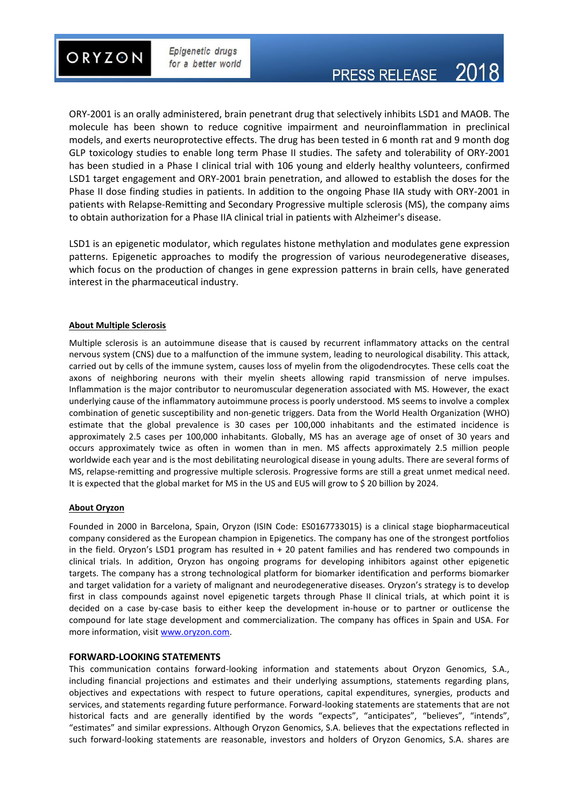

ORY-2001 is an orally administered, brain penetrant drug that selectively inhibits LSD1 and MAOB. The molecule has been shown to reduce cognitive impairment and neuroinflammation in preclinical models, and exerts neuroprotective effects. The drug has been tested in 6 month rat and 9 month dog GLP toxicology studies to enable long term Phase II studies. The safety and tolerability of ORY-2001 has been studied in a Phase I clinical trial with 106 young and elderly healthy volunteers, confirmed LSD1 target engagement and ORY-2001 brain penetration, and allowed to establish the doses for the Phase II dose finding studies in patients. In addition to the ongoing Phase IIA study with ORY-2001 in patients with Relapse-Remitting and Secondary Progressive multiple sclerosis (MS), the company aims to obtain authorization for a Phase IIA clinical trial in patients with Alzheimer's disease.

LSD1 is an epigenetic modulator, which regulates histone methylation and modulates gene expression patterns. Epigenetic approaches to modify the progression of various neurodegenerative diseases, which focus on the production of changes in gene expression patterns in brain cells, have generated interest in the pharmaceutical industry.

### **About Multiple Sclerosis**

Multiple sclerosis is an autoimmune disease that is caused by recurrent inflammatory attacks on the central nervous system (CNS) due to a malfunction of the immune system, leading to neurological disability. This attack, carried out by cells of the immune system, causes loss of myelin from the oligodendrocytes. These cells coat the axons of neighboring neurons with their myelin sheets allowing rapid transmission of nerve impulses. Inflammation is the major contributor to neuromuscular degeneration associated with MS. However, the exact underlying cause of the inflammatory autoimmune process is poorly understood. MS seems to involve a complex combination of genetic susceptibility and non-genetic triggers. Data from the World Health Organization (WHO) estimate that the global prevalence is 30 cases per 100,000 inhabitants and the estimated incidence is approximately 2.5 cases per 100,000 inhabitants. Globally, MS has an average age of onset of 30 years and occurs approximately twice as often in women than in men. MS affects approximately 2.5 million people worldwide each year and is the most debilitating neurological disease in young adults. There are several forms of MS, relapse-remitting and progressive multiple sclerosis. Progressive forms are still a great unmet medical need. It is expected that the global market for MS in the US and EU5 will grow to \$ 20 billion by 2024.

#### **About Oryzon**

Founded in 2000 in Barcelona, Spain, Oryzon (ISIN Code: ES0167733015) is a clinical stage biopharmaceutical company considered as the European champion in Epigenetics. The company has one of the strongest portfolios in the field. Oryzon's LSD1 program has resulted in + 20 patent families and has rendered two compounds in clinical trials. In addition, Oryzon has ongoing programs for developing inhibitors against other epigenetic targets. The company has a strong technological platform for biomarker identification and performs biomarker and target validation for a variety of malignant and neurodegenerative diseases. Oryzon's strategy is to develop first in class compounds against novel epigenetic targets through Phase II clinical trials, at which point it is decided on a case by-case basis to either keep the development in-house or to partner or outlicense the compound for late stage development and commercialization. The company has offices in Spain and USA. For more information, visi[t www.oryzon.com.](http://www.oryzon.com/)

#### **FORWARD-LOOKING STATEMENTS**

This communication contains forward-looking information and statements about Oryzon Genomics, S.A., including financial projections and estimates and their underlying assumptions, statements regarding plans, objectives and expectations with respect to future operations, capital expenditures, synergies, products and services, and statements regarding future performance. Forward-looking statements are statements that are not historical facts and are generally identified by the words "expects", "anticipates", "believes", "intends", "estimates" and similar expressions. Although Oryzon Genomics, S.A. believes that the expectations reflected in such forward-looking statements are reasonable, investors and holders of Oryzon Genomics, S.A. shares are